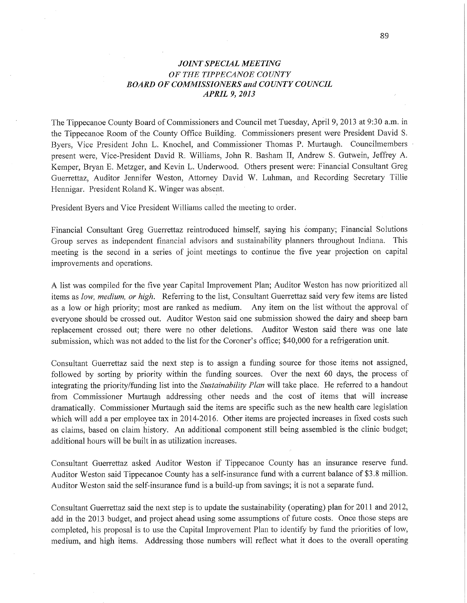## *JOINT SPECIAL MEETING*  OF THE *TIPPECANOE COUNTY BOARD* OF *COMMISSIONERS* and *COUNTY COUNCIL APRIL* 9, *2013*

The Tippecanoe County Board of Commissioners and Council met Tuesday, **Api'il** 9, 2013 at 9:30 am. in the Tippecanoe Room of the County Office Building. Commissioners present were President David S. Byers, Vice President John L. Knochel, and Commissioner Thomas P. Murtaugh. Councilmembers *.* presen<sup>t</sup>were, Vice-President David R; Williams, John R. Basham 11, Andrew S. Gutwein, Jeffrey A. Kemper, Bryan E. Metzger, and Kevin L. Underwood. Others present were: Financial Consultant Greg Guerrettaz, Auditor Jennifer Weston, Attorney David W. Luhman, and Recording Secretary Tillie Hennigar. President Roland K. Winger was absent.

President Byers and Vice President Williams called the meeting to order.

Financial Consultant Greg Guerrettaz reintroduced **himself,** saying his éompany; Financial Solutions Group serves as independent financial advisors and sustainability planners throughout Indiana. This meeting is the second in a series of joint meetings to continue the five year projection on capital improvements and operations.

**<sup>A</sup>**list was compiled for the five year Capital Improvement Plan; Auditor Weston has now prioritized all items as *low, medium,* or *high.* Referring to the list, Consultant Guerrettaz said very few items are listed as <sup>a</sup>low or high priority; most are ranked as medium. Any item on the list without the approval of everyone should be crossed out. Auditor Weston said one submission showed the dairy and sheep barn replacement crossed out; there were no **other** deletions. Auditor Weston said 'there was one late submission, which was not added to the list for the Coroner's office; \$40,000 for a refrigeration **unit.** 

Consultant Guerrettaz said the next step is to assign a funding source for those items not assigned, followed by sorting by priority within the funding sources. Over the next 60 days, the process of integrating the priority/funding list into the *Sustainability Plan* will take place. He referred to a handout from Commissioner Murtaugh addressing other needs and the cost of items that will increase dramatically. Commissioner Murtaugh said the items are specific such as the new health care legislation which will add a per employee tax in 2014-2016. Other items are projected increases in fixed costs **such**  as claims, based on claim history. An additional component still being assembled is the clinic budget; additional hours will be built in as utilization increases.

Consultant Guerrettaz asked Auditor Weston if Tippecanoe County has an insurance reserve fund. Auditor Weston said Tippecanoe County has a self-insurance fund with a current balance of \$3.8 million. Auditor Weston said the self-insurance fund is a build-up from savings; it is not a separate fund.

Consultant Guerrettaz said the next step is to update the sustainability (operating) plan for 2011 and 2012, add in the 2013 budget, and project ahead using some assumptions of future costs. Once those steps are completed, his proposal is to use the Capital Improvement Plan to identify by fund the priorities of low, medium, and high items. Addressing those numbers will reflect What it does to the overall operating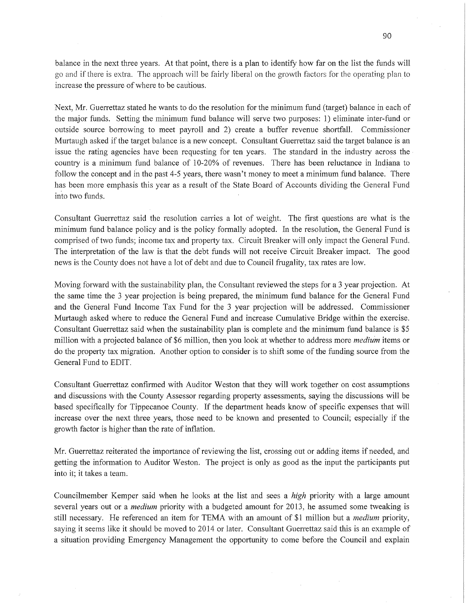balance in the next three years. At that point, there is a plan to identify how far on the list the funds will go and if there is extra. The approach will be fairly liberal on the growth factors for the operating plan'to increase the pressure of where to be cautious.

Next, Mr. Guerrettaz stated he wants to do the resolution for the minimum fund (target) balance in each of the major funds. Setting the minimum **fund** balance will serve two purposes: 1) eliminate inter-fund or outside source borrowing to meet payroll and 2) create a buffer revenue shortfall. Commissioner Murtaugh asked if the target balance is a new concept. Consultant Guerrettaz said the target balance is an issue the rating agencies have been requesting for ten years. The standard in the industry across the: country is a minimum fund balance of 10-20% of revenues. There has been reluctance in Indiana to follow the concept and in the past 4-5 years, there wasn't money to meet a minimum **fund** balance. There has been more emphasis this year as a result of the State Board of Accounts dividing the General Fund into two funds.

Consultant Guerrettaz said the resolution carries a lot of weight. The first questions are what is the minimum fund balance policy and is the policy formally adopted. In the resolution, the General Fund is comprised of 'two funds; income tax and property tax. Circuit Breaker will only impact the General Fund. The interpretation of the law is that the debt funds will not receive Circuit Breaker impact. The good news is the County does not have a lot of debt and due to Council frugality, tax rates are low.

Moving forward with the sustainability plan, the Consultant reviewed the steps for a 3 year projection. At the same time the 3 year projection is being prepared, the minimum fund balance for the General Fund and the General Fund Income Tax Fund for the 3 year projection will be addressed. Commissioner Murtaugh asked where to reduce the General Fund and increase Cumulative Bridge within the exercise. Consultant Guerrettaz said when the sustainability plan is complete and the minimum fund balance is \$5 million with a projected balance of \$6 million, then you look at whether to address more *medium* items or do the property tax migration. Another option to consider is to shift some of the funding source from the General Fund to EDIT;

Consultant Guerrettaz confirmed with Auditor Weston that they will work together on cost assumptions and discussions with the County Assessor regarding property assessments, saying the discussions will be based specifically for Tippecanoe County. If the department heads know of specific expenses that will increase over the next three years, those need to be known and presented to Council; especially if the growth factor is higher than the rate of inflation.

Mr. Guerrettaz reiterated the importance of reviewing the list, crossing out or adding items if needed, and getting the information to Auditor Weston. The project is only as good as the input the participants pu<sup>t</sup> into it; it takes a team;

Councilmember Kemper said when he looks at the list and sees a *high* priority with **a** large amount several years out or a *medium* priority with a budgeted amount for 2013, he assumed some tweaking is still necessary. He referenced an item for TEMA with an amount of \$1 million but a *medium* priority, saying it seems like it should be moved to 2014 or later. Consultant Guerrettaz said this is an example of a situation providing Emergency Management the opportunity to come before the Council and explain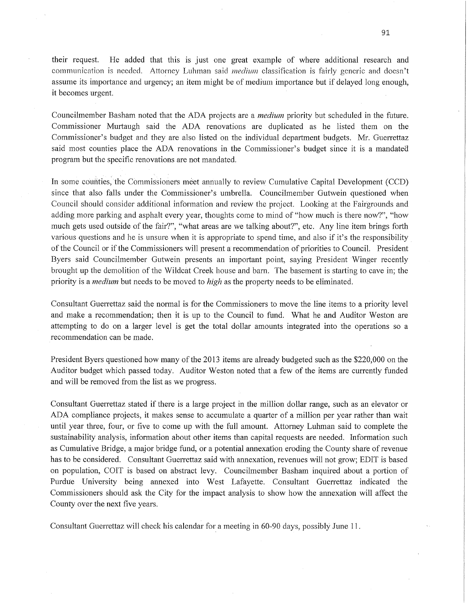their request. He added that this is just one great example of where additional research and communication is needed. Attorney Luhman said *medium* classification is fairly generic and doesn't assume its importance and urgency; an item might be of medium importance but if delayed long enough, it becomes urgent.

Councilmember Basham noted that the ADA projects are a *medium* priority but scheduled in the future. Commissioner Murtaugh said the ADA renovations are duplicated as he listed them on the Commissioner's budget and they are also listed 0n the individual department budgets. Mr. Guerrettaz said *most* counties place the ADA renovations in the Commissioner's budget since it is a mandated program but the specific renovations are not mandated.

In some counties, the Commissioners meet annually to review Cumulative Capital Development (CCD) since that also falls under the Commissioner's umbrella. Councilmember Gutwein questioned when Council should consider additional information and review the project. Looking at the Fairgrounds and adding more parking and asphalt every year, thoughts come to mind of "how much is there now?", "how much gets used outside of the fair?", "What areas are we talking about?", etc. Any line item brings forth various questions and he is unsure when it is appropriate to spend time, and also if it's the responsibility ' of the Council or if the Commissioners will present a' recommendation of priorities to Council. President Byers said Councihnember Gutwein presents an important point, saying President 'Winger recently brought up the demolition of the Wildcat Creek house and barn. The basement is starting to cave in; the priority is a *medium* but needs to be moved to *high* as the property needs to be eliminated.

Consultant Guerrettaz said the normal is for the Commissioners to move the line items to <sup>a</sup>priority level and make a recommendation; then it is up to the Council to fund. What he and Auditor Weston are attempting to do on a larger level is get the total dollar amounts integrated into the operations so <sup>a</sup> recommendation can be made.

President Byers questioned how many of the 2013 items are already budgeted such as the \$220,000 on the Auditor budget which passed today. Auditor Weston noted that a few of the items are currently funded and will be removed from the list as we progress.

Consultant Guerrettaz stated if there is a large project in the million dollar range, such as an elevator or ADA compliance projects, it makes sense to accumulate a quarter of a million per year rather than wait until year three, four, or five to come up with the full amount. Attorney Luhman said to complete the susfainability analysis, information about other items than capital requests are needed. Information such as Cumulative Bridge, a major bridge fund, or a potential annexation eroding the County share of revenue has to be considered. Consultant Guerrettaz said with annexation, revenues will not grow; EDIT is based on population, COIT is based on abstract levy. Councilmember Basham inquired about <sup>a</sup>portion of Purdue University being annexed into West Lafayette. Consultant Guerrettaz indicated the Commissioners should ask the City for the impact analysis to show how the annexation will affect the County over the next five years.

Consultant Guerrettaz will check his calendar for a meeting in 60-90 days, possibly June 11.